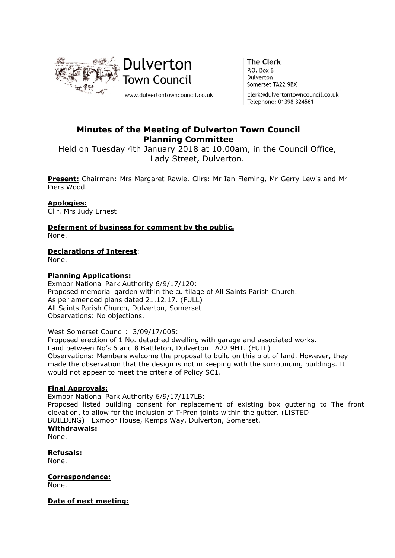

**The Clerk** P.O. Box 8 Dulverton Somerset TA22 9BX

clerk@dulvertontowncouncil.co.uk Telephone: 01398 324561

# Minutes of the Meeting of Dulverton Town Council Planning Committee

Held on Tuesday 4th January 2018 at 10.00am, in the Council Office, Lady Street, Dulverton.

Present: Chairman: Mrs Margaret Rawle. Cllrs: Mr Ian Fleming, Mr Gerry Lewis and Mr Piers Wood.

## Apologies:

Cllr. Mrs Judy Ernest

Deferment of business for comment by the public. None.

Declarations of Interest:

None.

## Planning Applications:

Exmoor National Park Authority 6/9/17/120: Proposed memorial garden within the curtilage of All Saints Parish Church. As per amended plans dated 21.12.17. (FULL) All Saints Parish Church, Dulverton, Somerset Observations: No objections.

### West Somerset Council: 3/09/17/005:

Proposed erection of 1 No. detached dwelling with garage and associated works. Land between No's 6 and 8 Battleton, Dulverton TA22 9HT. (FULL) Observations: Members welcome the proposal to build on this plot of land. However, they made the observation that the design is not in keeping with the surrounding buildings. It would not appear to meet the criteria of Policy SC1.

## Final Approvals:

Exmoor National Park Authority 6/9/17/117LB: Proposed listed building consent for replacement of existing box guttering to The front elevation, to allow for the inclusion of T-Pren joints within the gutter. (LISTED BUILDING) Exmoor House, Kemps Way, Dulverton, Somerset.

Withdrawals: None.

Refusals: None.

Correspondence: None.

Date of next meeting: